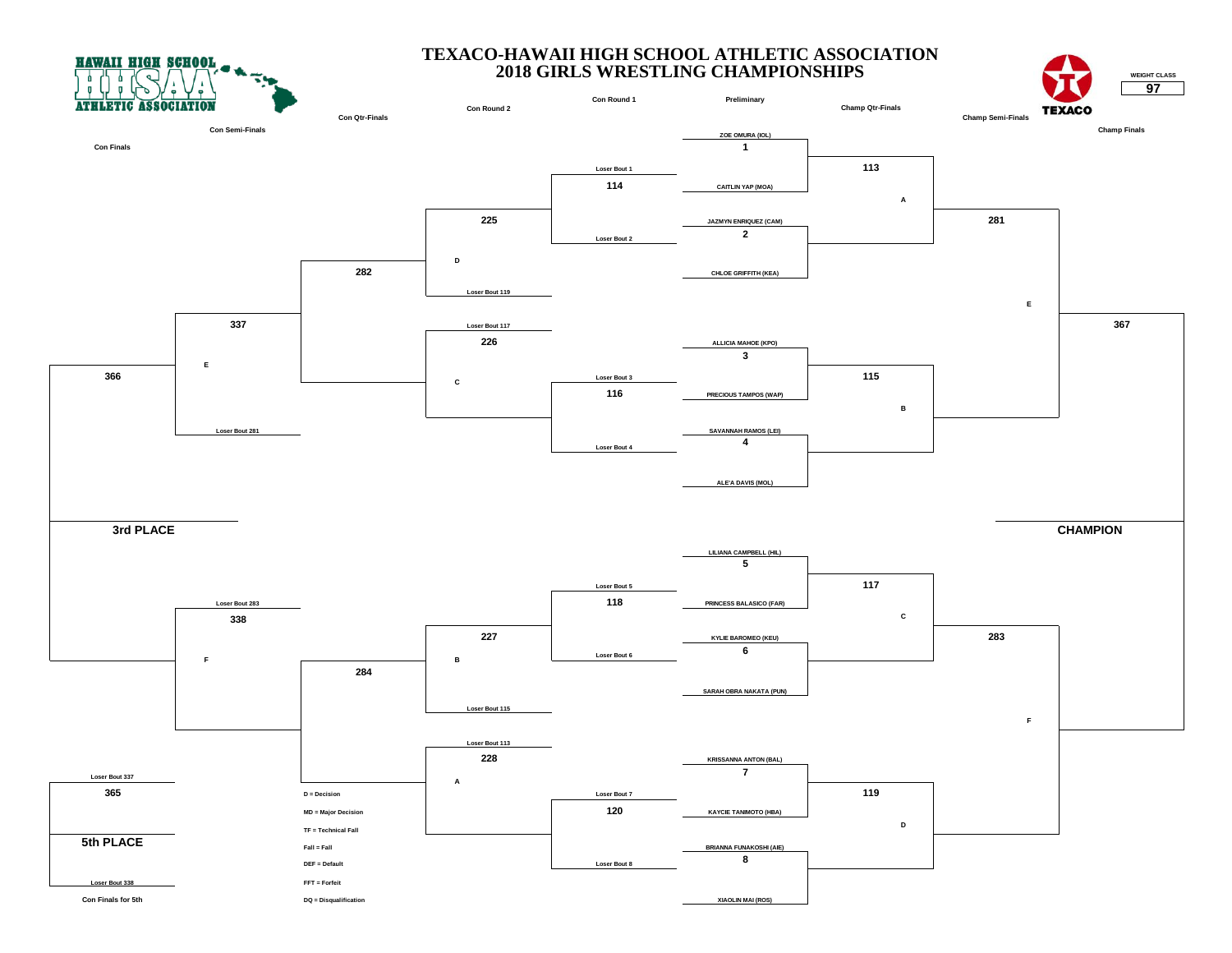**HAWAII HIGH SCHOOL** 



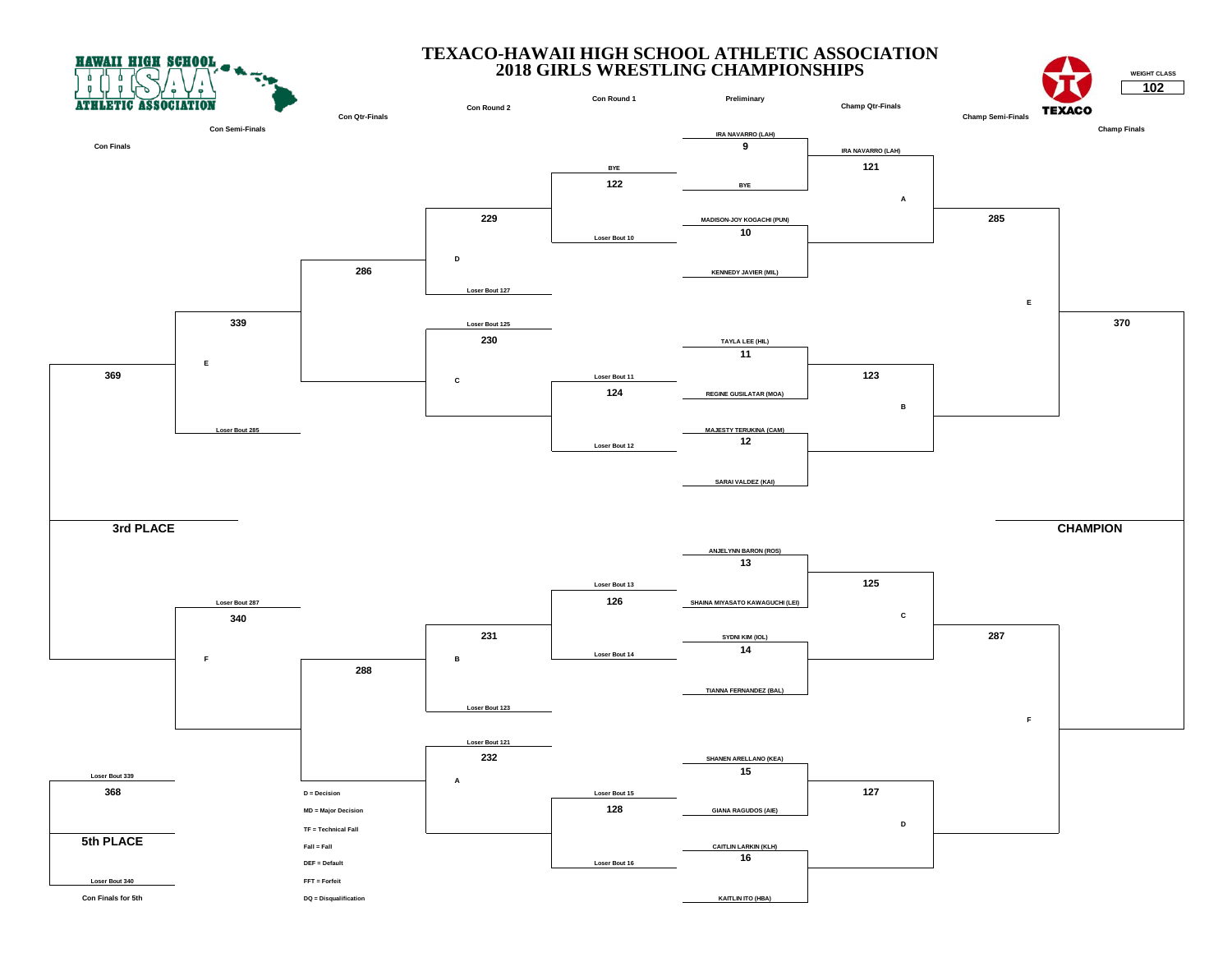



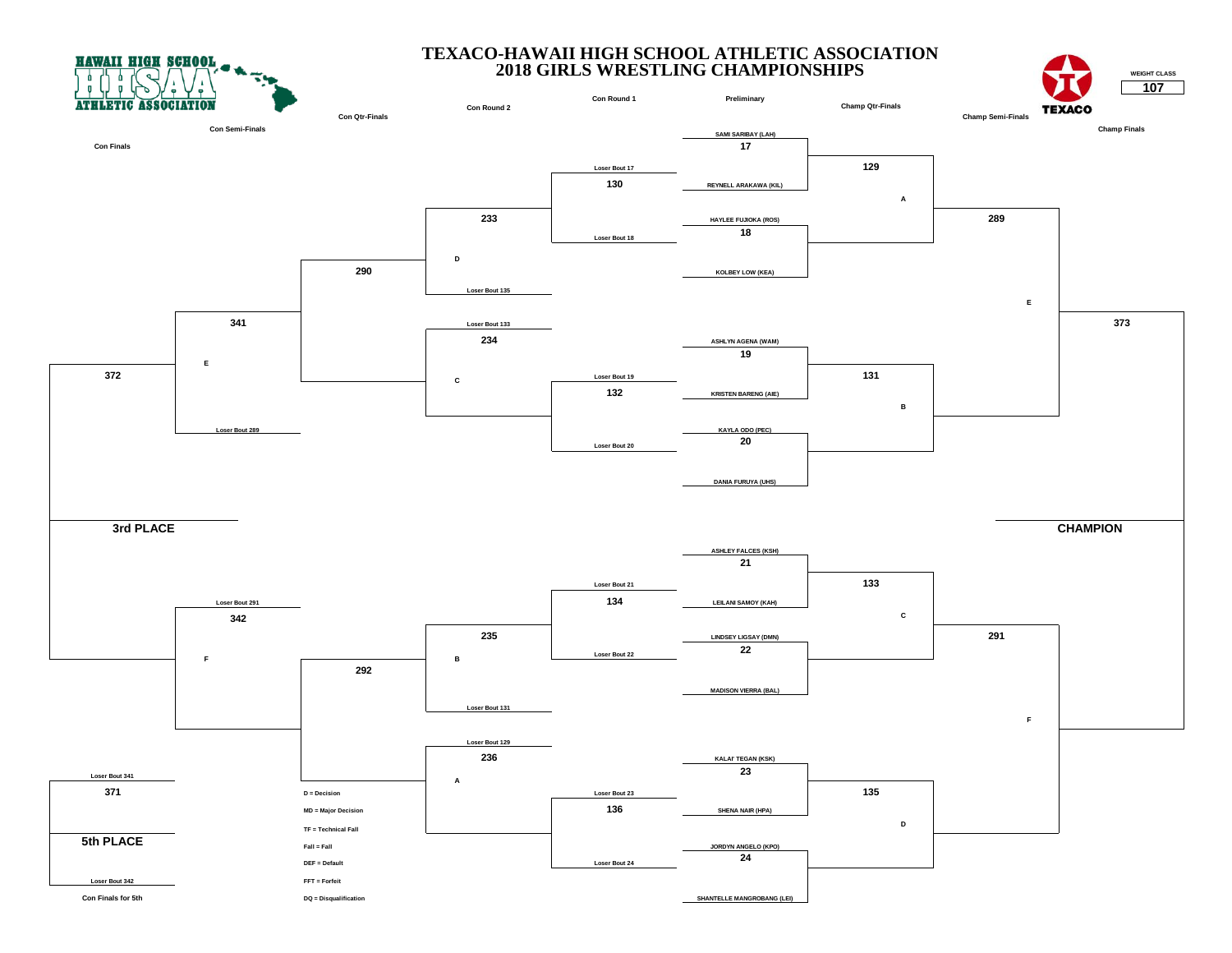



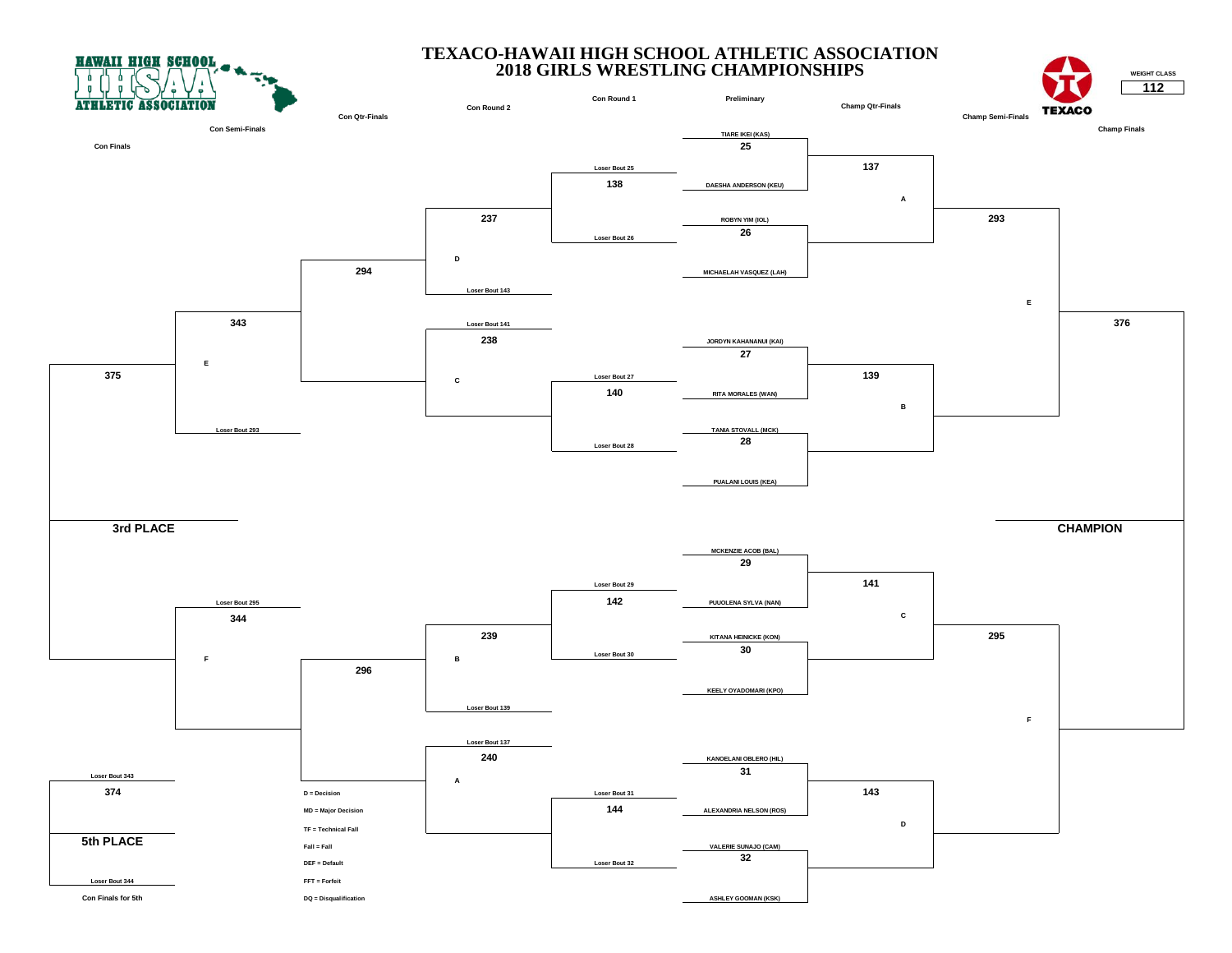



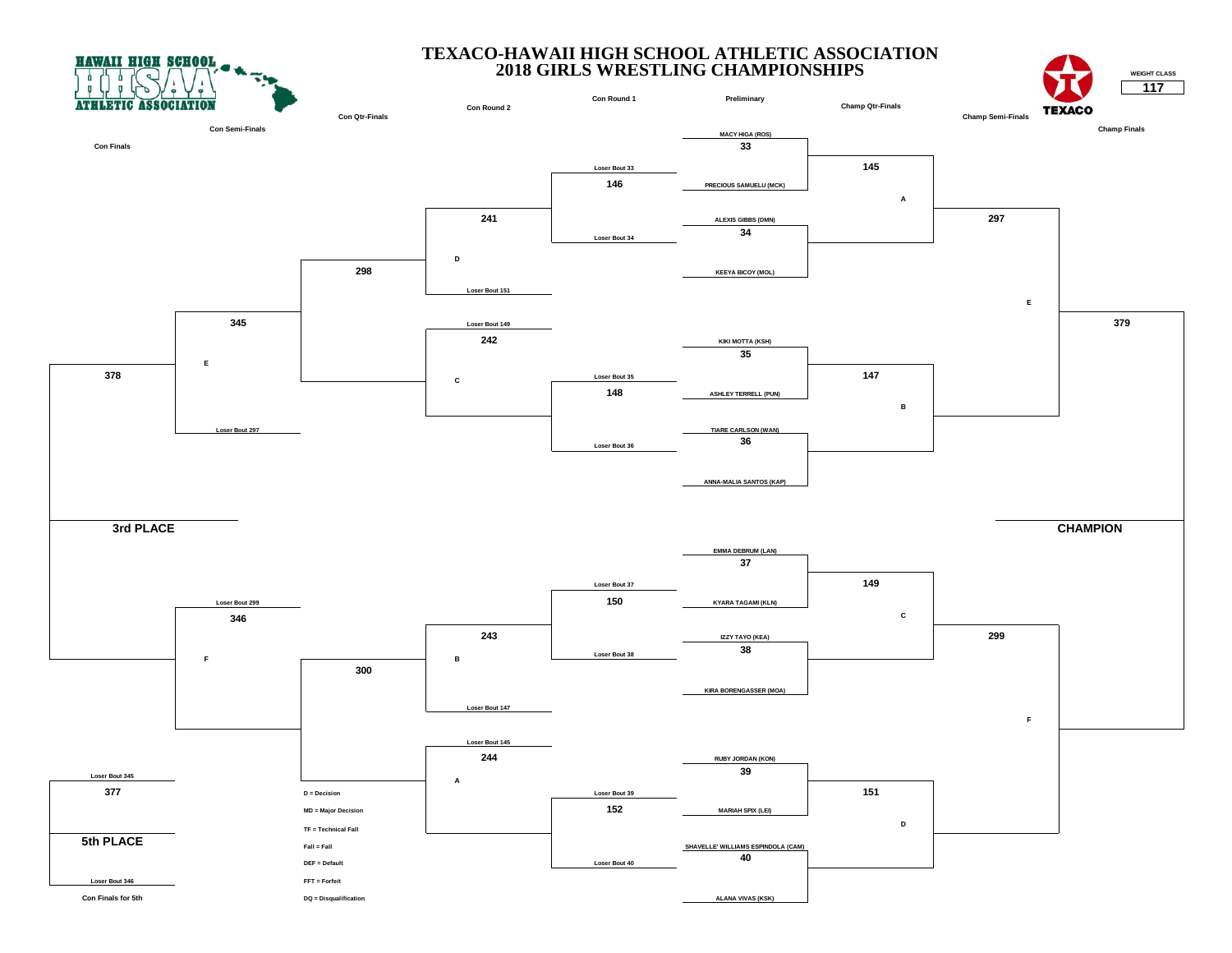



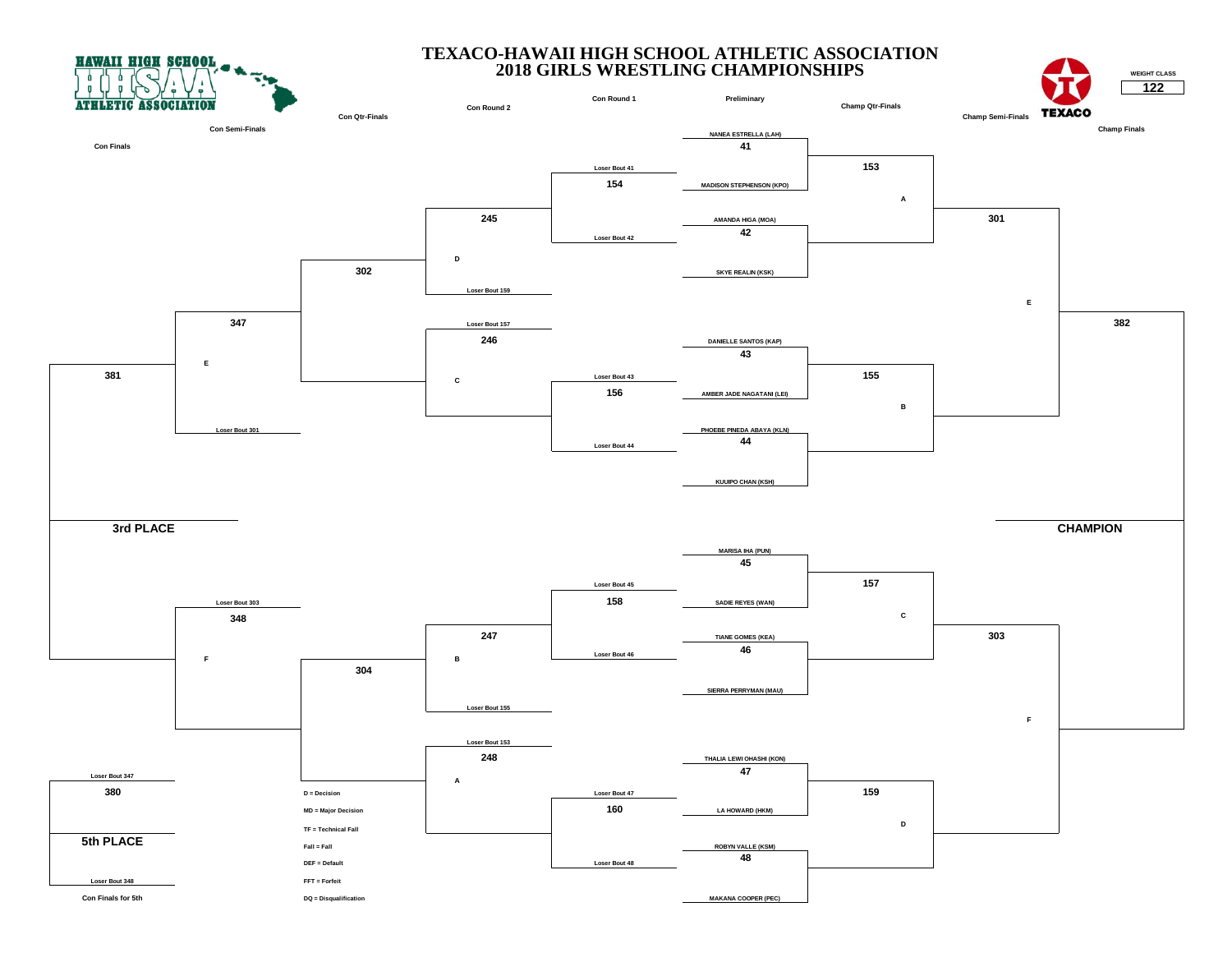



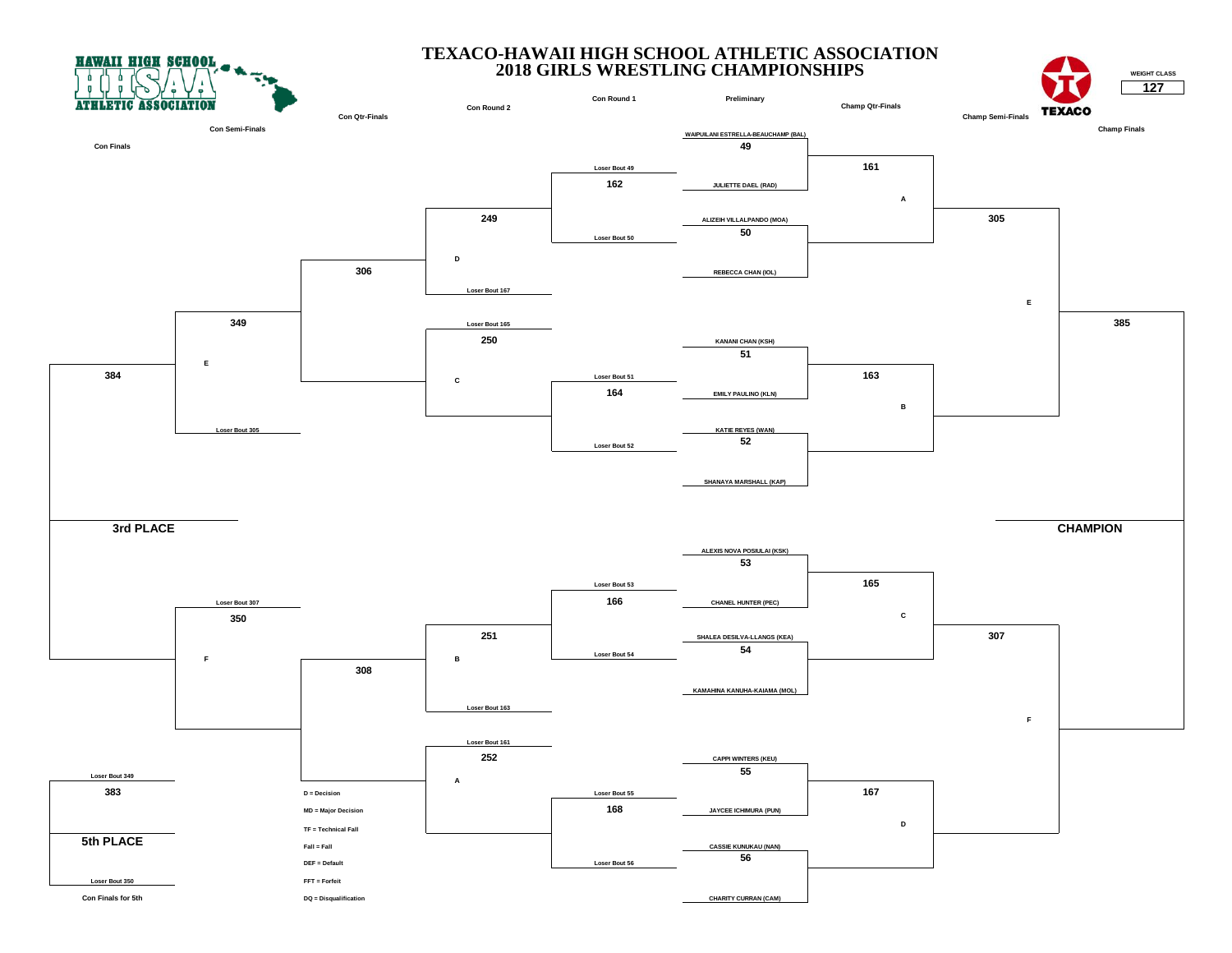



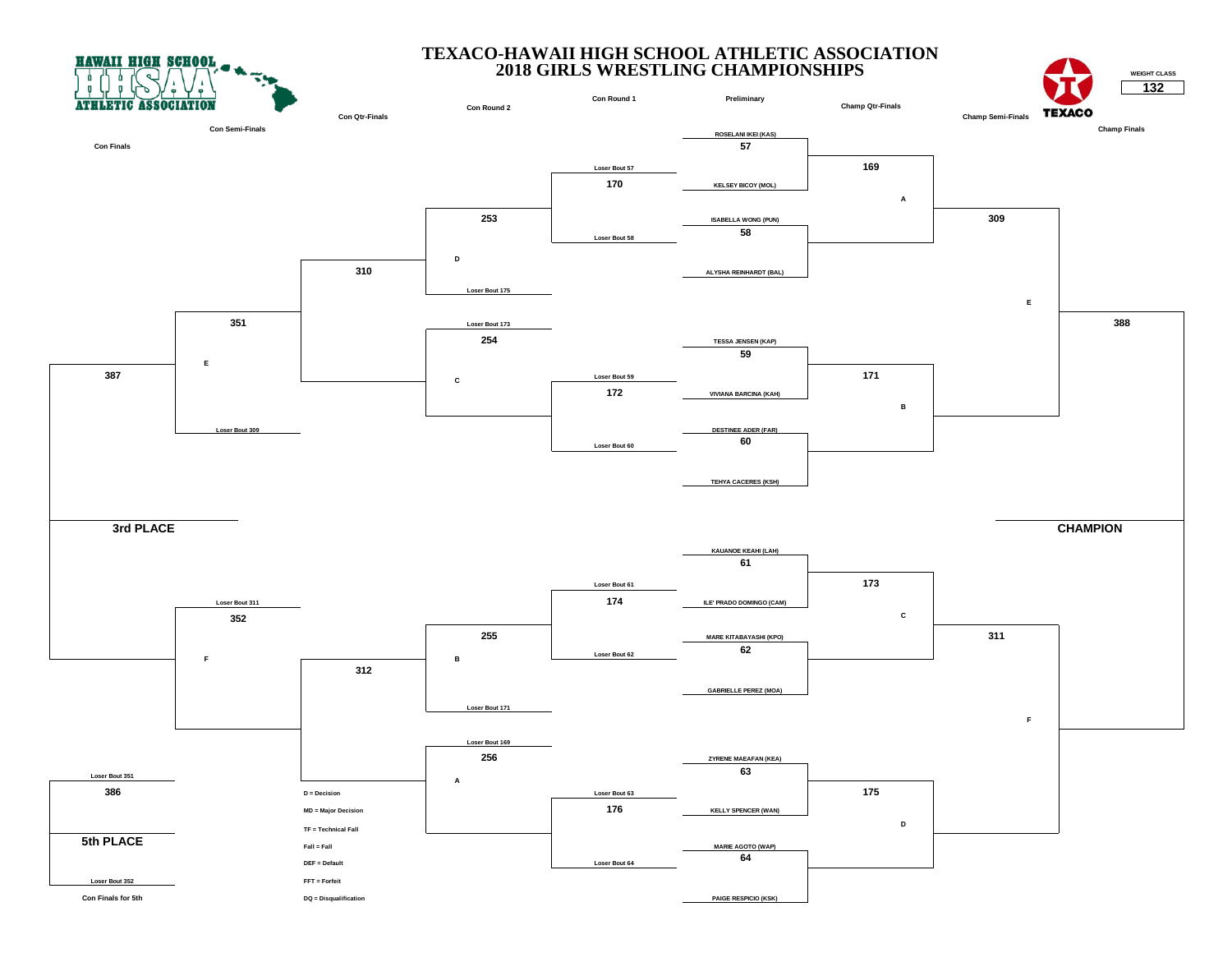



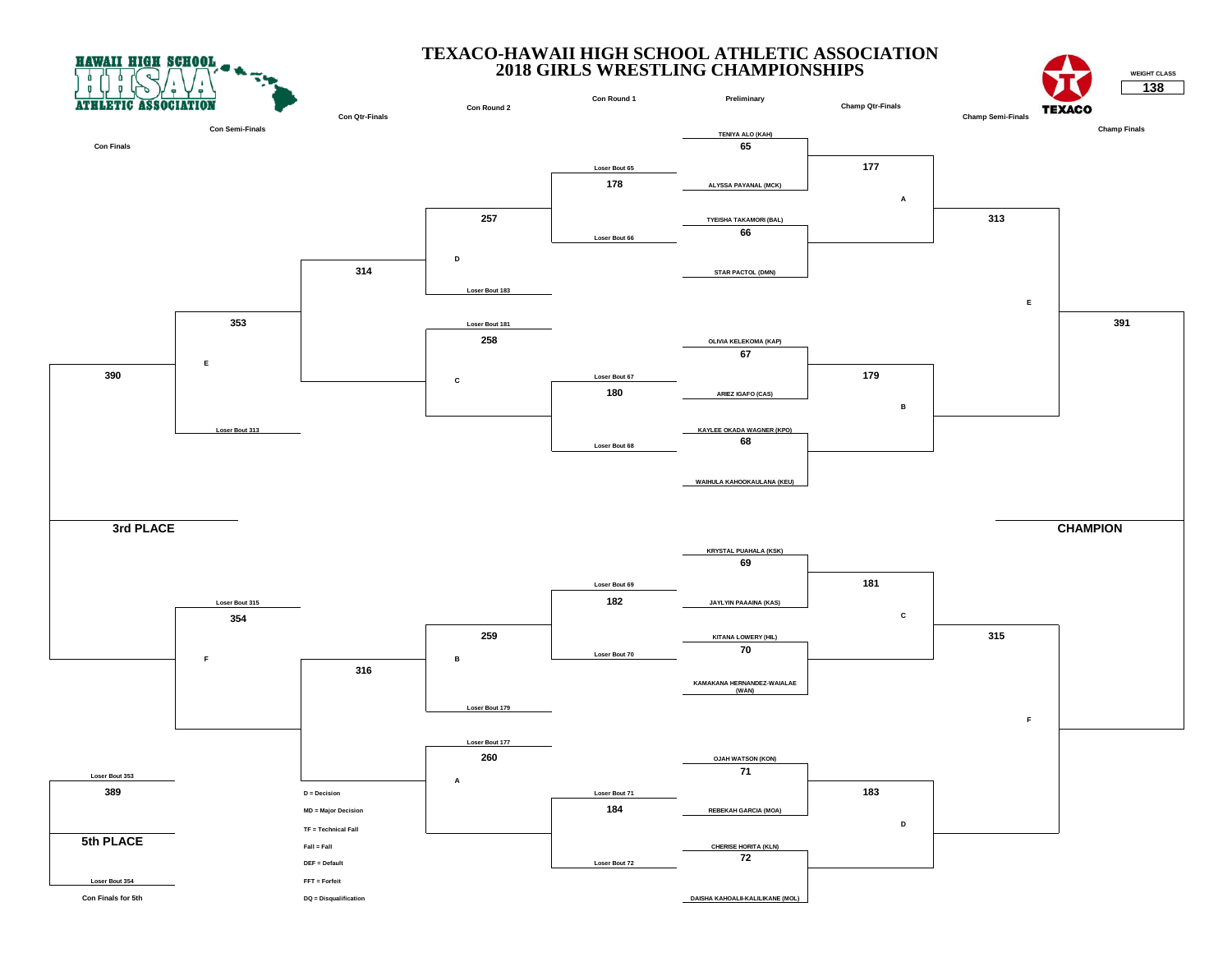



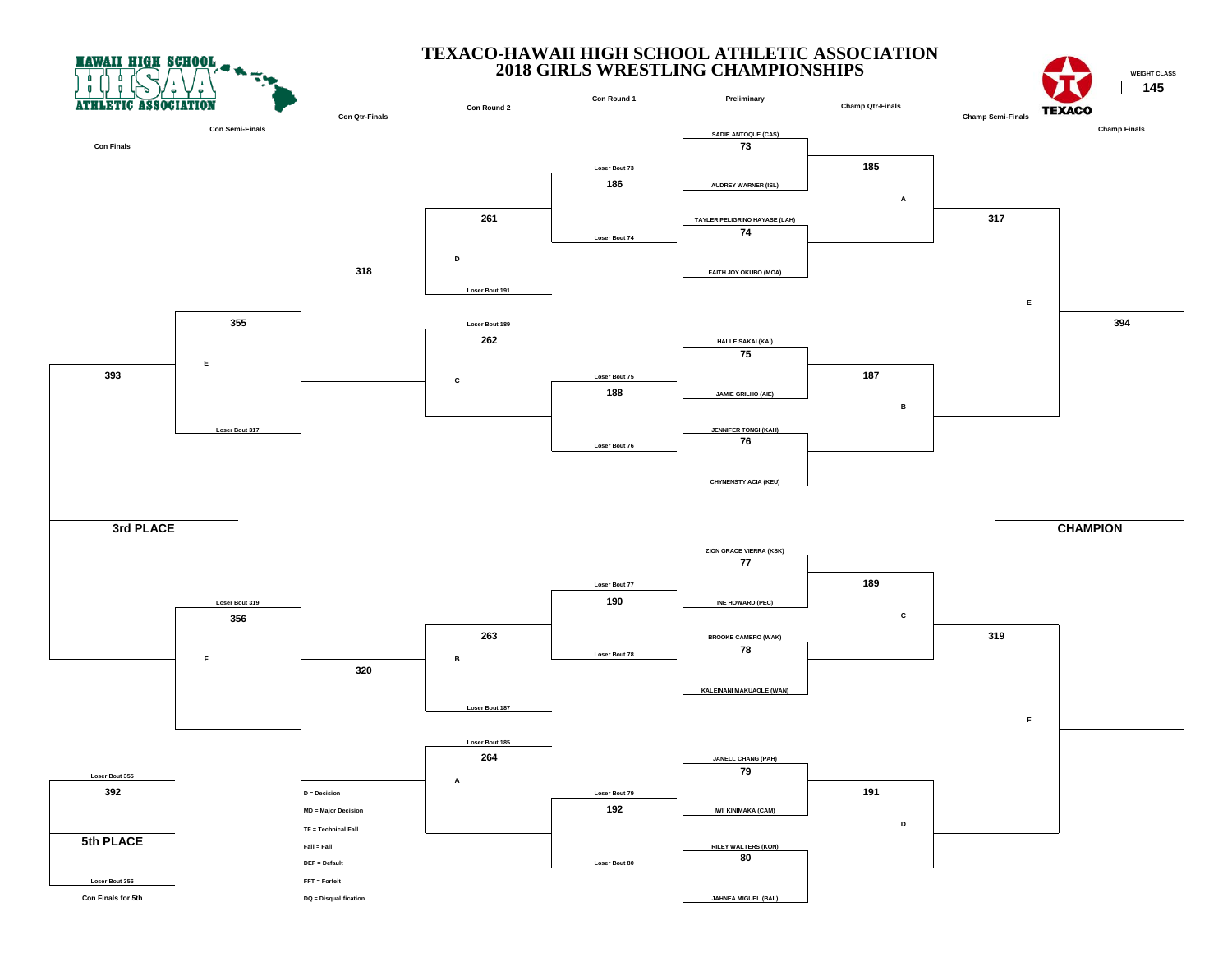



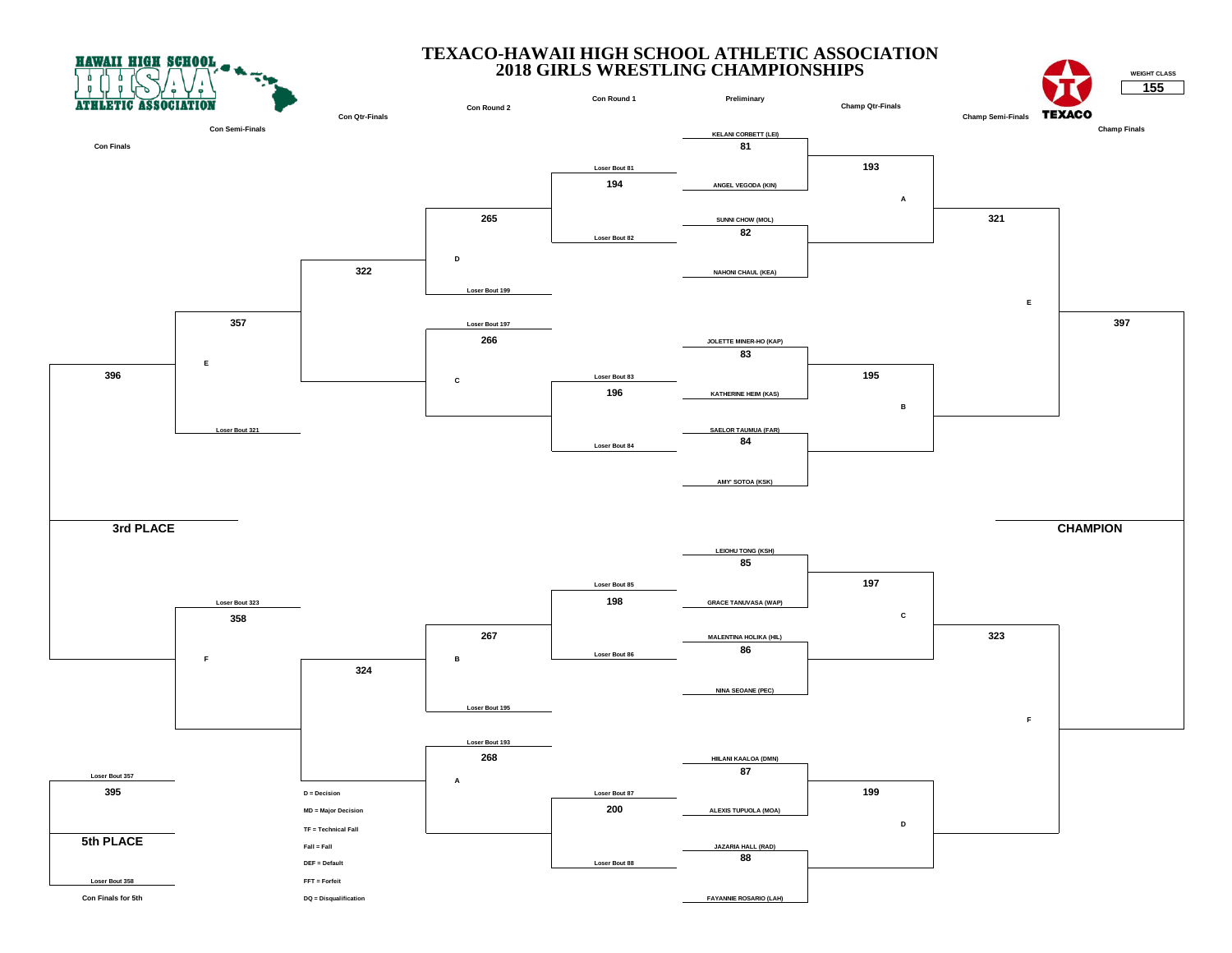



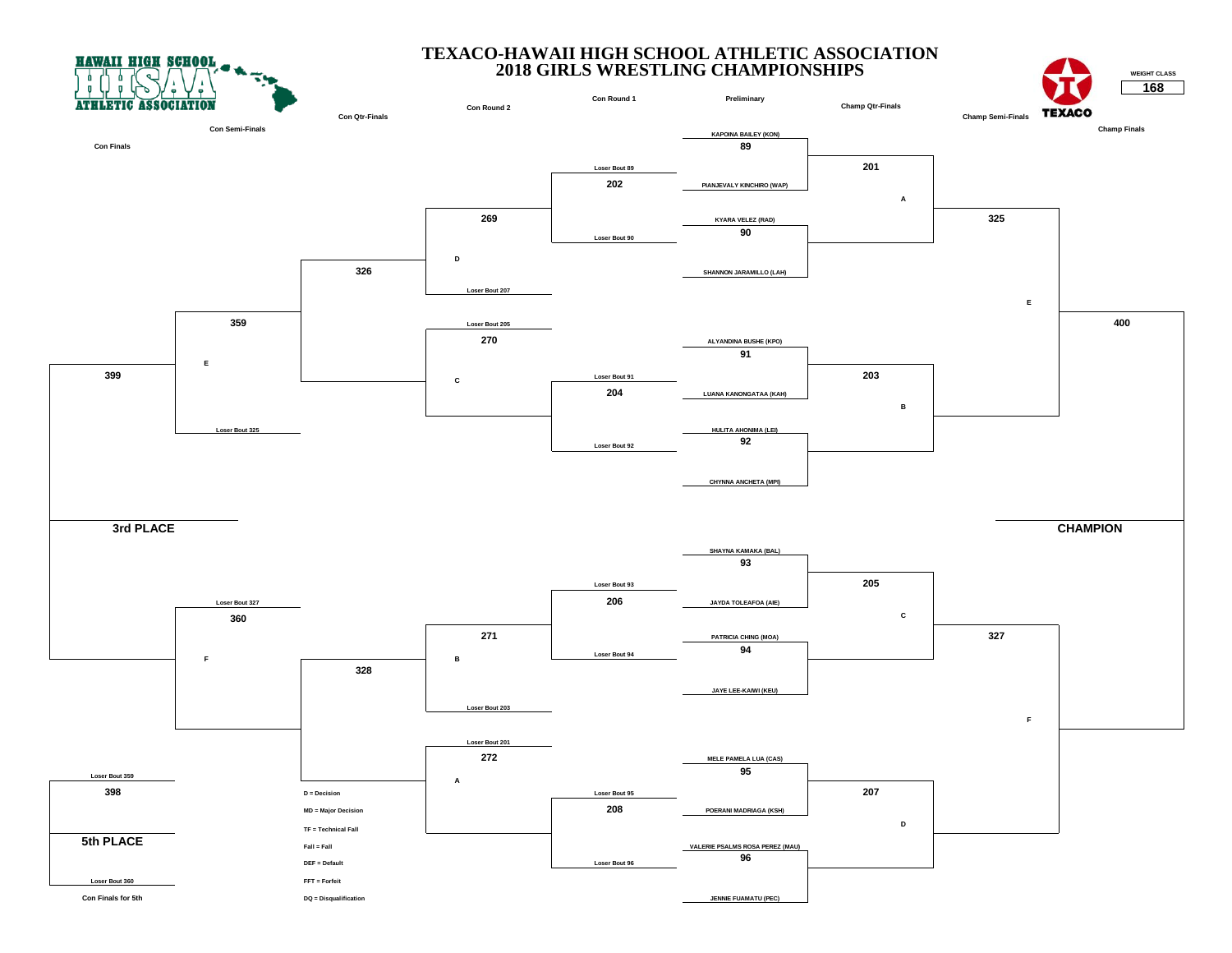



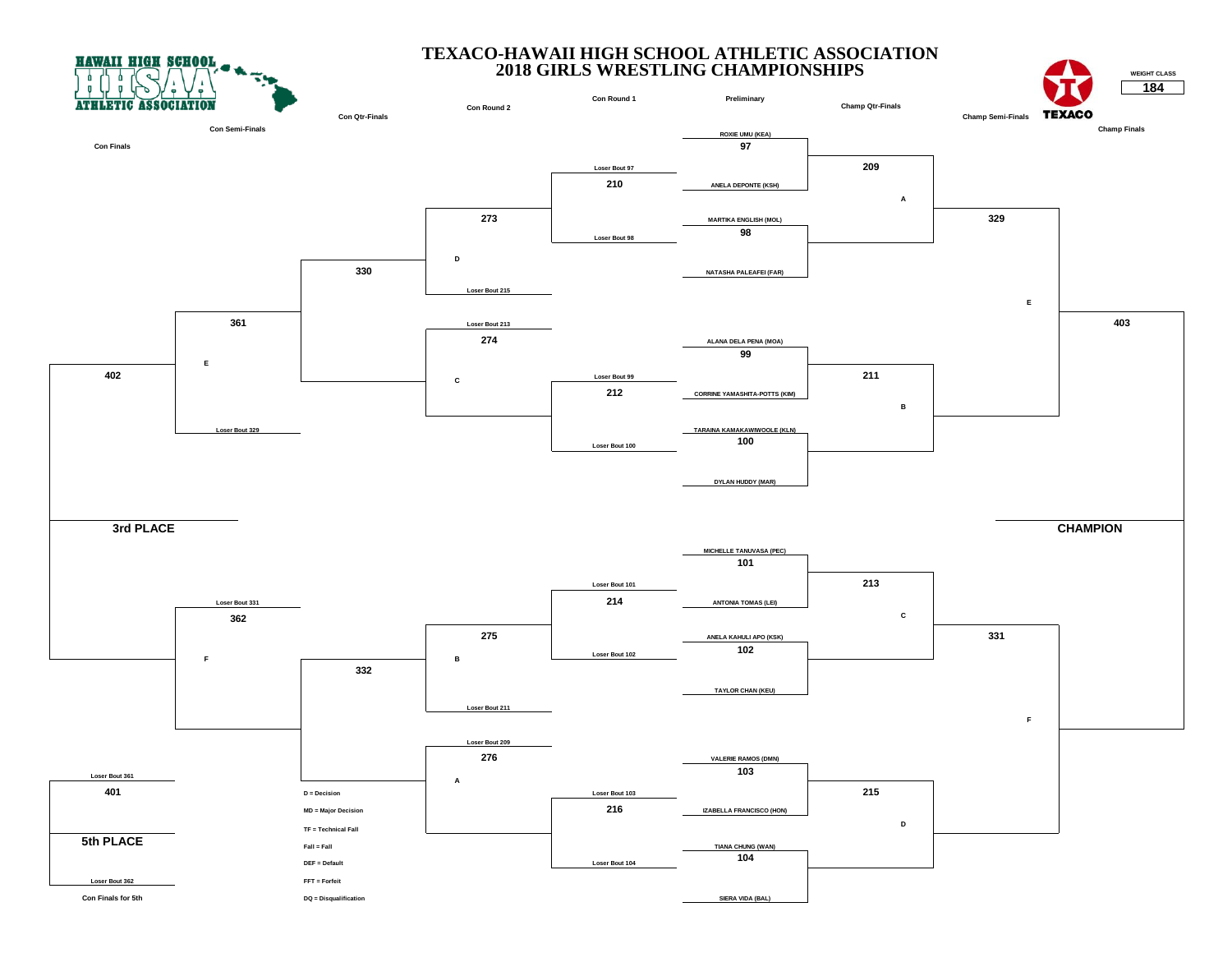